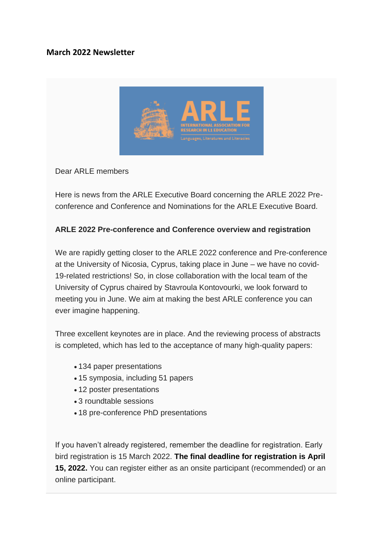## **March 2022 Newsletter**



Dear ARLE members

Here is news from the ARLE Executive Board concerning the ARLE 2022 Preconference and Conference and Nominations for the ARLE Executive Board.

## **ARLE 2022 Pre-conference and Conference overview and registration**

We are rapidly getting closer to the ARLE 2022 conference and Pre-conference at the University of Nicosia, Cyprus, taking place in June – we have no covid-19-related restrictions! So, in close collaboration with the local team of the University of Cyprus chaired by Stavroula Kontovourki, we look forward to meeting you in June. We aim at making the best ARLE conference you can ever imagine happening.

Three excellent keynotes are in place. And the reviewing process of abstracts is completed, which has led to the acceptance of many high-quality papers:

- 134 paper presentations
- 15 symposia, including 51 papers
- 12 poster presentations
- 3 roundtable sessions
- 18 pre-conference PhD presentations

If you haven't already registered, remember the deadline for registration. Early bird registration is 15 March 2022. **The final deadline for registration is April 15, 2022.** You can register either as an onsite participant (recommended) or an online participant.